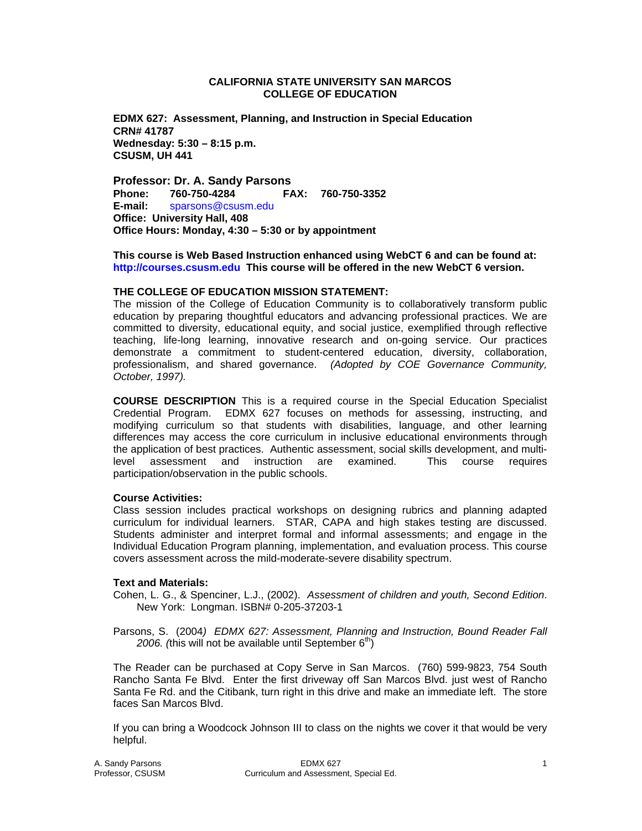### **CALIFORNIA STATE UNIVERSITY SAN MARCOS COLLEGE OF EDUCATION**

**EDMX 627: Assessment, Planning, and Instruction in Special Education CRN# 41787 Wednesday: 5:30 – 8:15 p.m. CSUSM, UH 441** 

**Professor: Dr. A. Sandy Parsons Phone: 760-750-4284 FAX: 760-750-3352 E-mail:** sparsons@csusm.edu **Office: University Hall, 408 Office Hours: Monday, 4:30 – 5:30 or by appointment** 

**This course is Web Based Instruction enhanced using WebCT 6 and can be found at: http://courses.csusm.edu This course will be offered in the new WebCT 6 version.** 

#### **THE COLLEGE OF EDUCATION MISSION STATEMENT:**

The mission of the College of Education Community is to collaboratively transform public education by preparing thoughtful educators and advancing professional practices. We are committed to diversity, educational equity, and social justice, exemplified through reflective teaching, life-long learning, innovative research and on-going service. Our practices demonstrate a commitment to student-centered education, diversity, collaboration, professionalism, and shared governance. *(Adopted by COE Governance Community, October, 1997).* 

**COURSE DESCRIPTION** This is a required course in the Special Education Specialist Credential Program. EDMX 627 focuses on methods for assessing, instructing, and modifying curriculum so that students with disabilities, language, and other learning differences may access the core curriculum in inclusive educational environments through the application of best practices. Authentic assessment, social skills development, and multi-<br>level assessment and instruction are examined. This course requires instruction are examined. This course requires participation/observation in the public schools.

## **Course Activities:**

Class session includes practical workshops on designing rubrics and planning adapted curriculum for individual learners. STAR, CAPA and high stakes testing are discussed. Students administer and interpret formal and informal assessments; and engage in the Individual Education Program planning, implementation, and evaluation process. This course covers assessment across the mild-moderate-severe disability spectrum.

## **Text and Materials:**

- Cohen, L. G., & Spenciner, L.J., (2002). *Assessment of children and youth, Second Edition*. New York: Longman. ISBN# 0-205-37203-1
- Parsons, S. (2004*) EDMX 627: Assessment, Planning and Instruction, Bound Reader Fall*  2006. (this will not be available until September 6<sup>th</sup>)

The Reader can be purchased at Copy Serve in San Marcos. (760) 599-9823, 754 South Rancho Santa Fe Blvd. Enter the first driveway off San Marcos Blvd. just west of Rancho Santa Fe Rd. and the Citibank, turn right in this drive and make an immediate left. The store faces San Marcos Blvd.

If you can bring a Woodcock Johnson III to class on the nights we cover it that would be very helpful.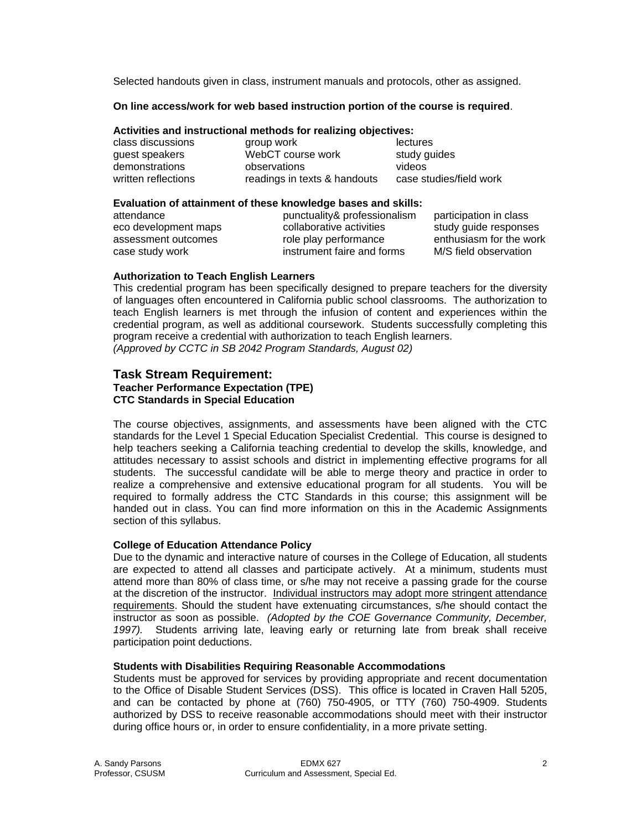Selected handouts given in class, instrument manuals and protocols, other as assigned.

## **On line access/work for web based instruction portion of the course is required**.

# **Activities and instructional methods for realizing objectives:**

| class discussions   | group work                   | lectures                |
|---------------------|------------------------------|-------------------------|
| guest speakers      | WebCT course work            | study guides            |
| demonstrations      | observations                 | videos                  |
| written reflections | readings in texts & handouts | case studies/field work |

### **Evaluation of attainment of these knowledge bases and skills:**

| attendance           |
|----------------------|
| eco development maps |
| assessment outcomes  |
| case study work      |

punctuality& professionalism participation in class collaborative activities study quide responses role play performance enthusiasm for the work

instrument faire and forms M/S field observation

# **Authorization to Teach English Learners**

This credential program has been specifically designed to prepare teachers for the diversity of languages often encountered in California public school classrooms. The authorization to teach English learners is met through the infusion of content and experiences within the credential program, as well as additional coursework. Students successfully completing this program receive a credential with authorization to teach English learners.

*(Approved by CCTC in SB 2042 Program Standards, August 02)*

#### **Task Stream Requirement: Teacher Performance Expectation (TPE)**

# **CTC Standards in Special Education**

The course objectives, assignments, and assessments have been aligned with the CTC standards for the Level 1 Special Education Specialist Credential. This course is designed to help teachers seeking a California teaching credential to develop the skills, knowledge, and attitudes necessary to assist schools and district in implementing effective programs for all students. The successful candidate will be able to merge theory and practice in order to realize a comprehensive and extensive educational program for all students. You will be required to formally address the CTC Standards in this course; this assignment will be handed out in class. You can find more information on this in the Academic Assignments section of this syllabus.

# **College of Education Attendance Policy**

Due to the dynamic and interactive nature of courses in the College of Education, all students are expected to attend all classes and participate actively. At a minimum, students must attend more than 80% of class time, or s/he may not receive a passing grade for the course at the discretion of the instructor. Individual instructors may adopt more stringent attendance requirements. Should the student have extenuating circumstances, s/he should contact the instructor as soon as possible. *(Adopted by the COE Governance Community, December, 1997).* Students arriving late, leaving early or returning late from break shall receive participation point deductions.

# **Students with Disabilities Requiring Reasonable Accommodations**

Students must be approved for services by providing appropriate and recent documentation to the Office of Disable Student Services (DSS). This office is located in Craven Hall 5205, and can be contacted by phone at (760) 750-4905, or TTY (760) 750-4909. Students authorized by DSS to receive reasonable accommodations should meet with their instructor during office hours or, in order to ensure confidentiality, in a more private setting.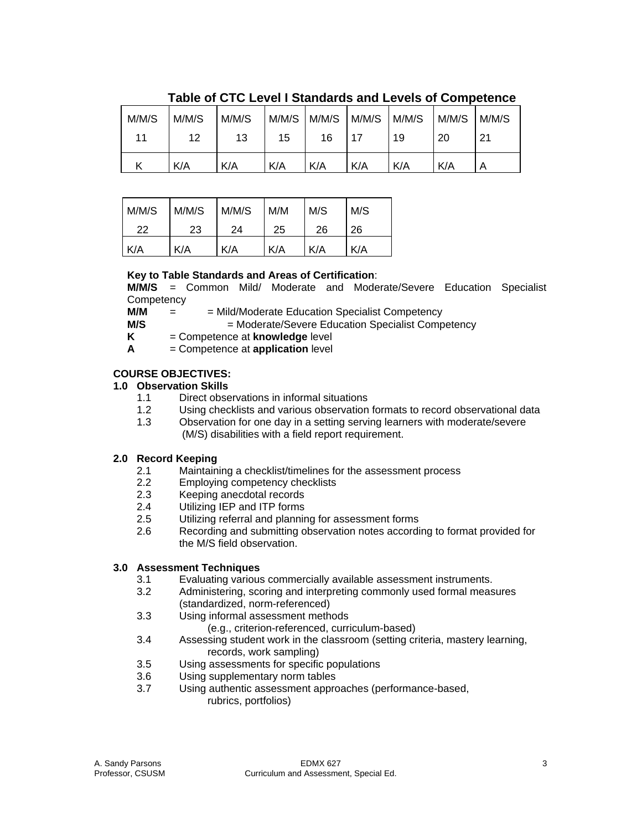| M/M/S | M/M/S | M/M/S | M/M/S | M/M/S | M/M/S | M/M/S | M/M/S | M/M/S |
|-------|-------|-------|-------|-------|-------|-------|-------|-------|
| 11    | 12    | 13    | 15    | 16    | 17    | 19    | 20    | 21    |
|       | K/A   | K/A   | K/A   | K/A   | K/A   | K/A   | K/A   | Α     |

**Table of CTC Level I Standards and Levels of Competence** 

| M/M/S | M/M/S | M/M/S | M/M | M/S | M/S |
|-------|-------|-------|-----|-----|-----|
| 22    | 23    | 24    | 25  | 26  | 26  |
| K/A   | K/A   | K/A   | K/A | K/A | K/A |

# **Key to Table Standards and Areas of Certification**:

**M/M/S** = Common Mild/ Moderate and Moderate/Severe Education Specialist **Competency** 

**M/M** =  $=$  Mild/Moderate Education Specialist Competency

**M/S**  $=$  Moderate/Severe Education Specialist Competency

**K** = Competence at **knowledge** level

**A** = Competence at **application** level

# **COURSE OBJECTIVES:**

# **1.0 Observation Skills**

- 1.1 Direct observations in informal situations
- 1.2 Using checklists and various observation formats to record observational data
- 1.3 Observation for one day in a setting serving learners with moderate/severe (M/S) disabilities with a field report requirement.

# **2.0 Record Keeping**

- 2.1 Maintaining a checklist/timelines for the assessment process
- 2.2 Employing competency checklists
- 2.3 Keeping anecdotal records
- 2.4 Utilizing IEP and ITP forms
- 2.5 Utilizing referral and planning for assessment forms
- 2.6 Recording and submitting observation notes according to format provided for the M/S field observation.

# **3.0 Assessment Techniques**

- 3.1 Evaluating various commercially available assessment instruments.
- 3.2 Administering, scoring and interpreting commonly used formal measures (standardized, norm-referenced)
- 3.3 Using informal assessment methods
	- (e.g., criterion-referenced, curriculum-based)
- 3.4 Assessing student work in the classroom (setting criteria, mastery learning, records, work sampling)
- 3.5 Using assessments for specific populations
- 3.6 Using supplementary norm tables
- 3.7 Using authentic assessment approaches (performance-based, rubrics, portfolios)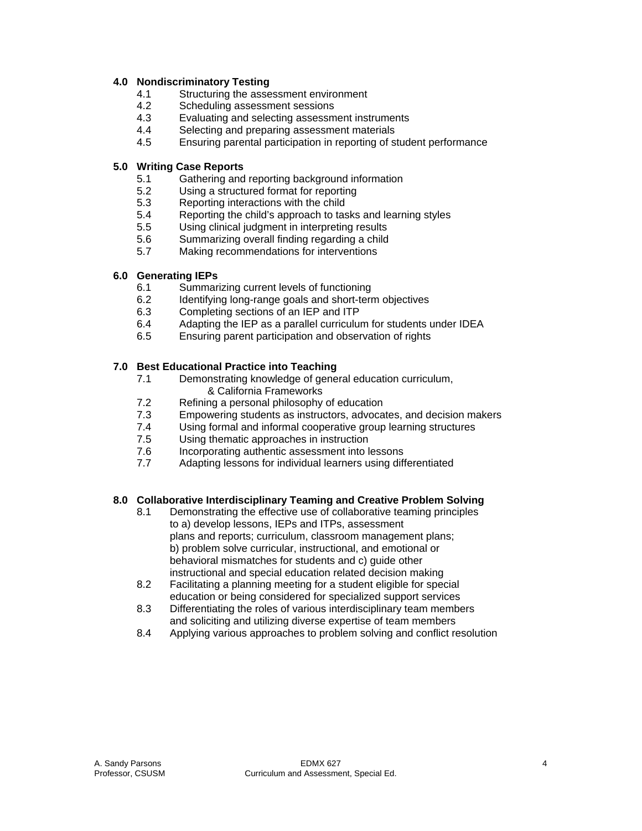# **4.0 Nondiscriminatory Testing**

- 4.1 Structuring the assessment environment
- 4.2 Scheduling assessment sessions
- 4.3 Evaluating and selecting assessment instruments
- 4.4 Selecting and preparing assessment materials
- 4.5 Ensuring parental participation in reporting of student performance

# **5.0 Writing Case Reports**

- 5.1 Gathering and reporting background information
- 5.2 Using a structured format for reporting
- 5.3 Reporting interactions with the child
- 5.4 Reporting the child's approach to tasks and learning styles
- 5.5 Using clinical judgment in interpreting results
- 5.6 Summarizing overall finding regarding a child
- 5.7 Making recommendations for interventions

# **6.0 Generating IEPs**

- 6.1 Summarizing current levels of functioning
- 6.2 Identifying long-range goals and short-term objectives
- 6.3 Completing sections of an IEP and ITP
- 6.4 Adapting the IEP as a parallel curriculum for students under IDEA
- 6.5 Ensuring parent participation and observation of rights

# **7.0 Best Educational Practice into Teaching**

- 7.1 Demonstrating knowledge of general education curriculum, & California Frameworks
- 7.2 Refining a personal philosophy of education<br>7.3 Empowering students as instructors, advoca
- Empowering students as instructors, advocates, and decision makers
- 7.4 Using formal and informal cooperative group learning structures
- 7.5 Using thematic approaches in instruction
- 7.6 Incorporating authentic assessment into lessons
- 7.7 Adapting lessons for individual learners using differentiated

# **8.0 Collaborative Interdisciplinary Teaming and Creative Problem Solving**

- 8.1 Demonstrating the effective use of collaborative teaming principles to a) develop lessons, IEPs and ITPs, assessment plans and reports; curriculum, classroom management plans; b) problem solve curricular, instructional, and emotional or behavioral mismatches for students and c) guide other instructional and special education related decision making
- 8.2 Facilitating a planning meeting for a student eligible for special education or being considered for specialized support services
- 8.3 Differentiating the roles of various interdisciplinary team members and soliciting and utilizing diverse expertise of team members
- 8.4 Applying various approaches to problem solving and conflict resolution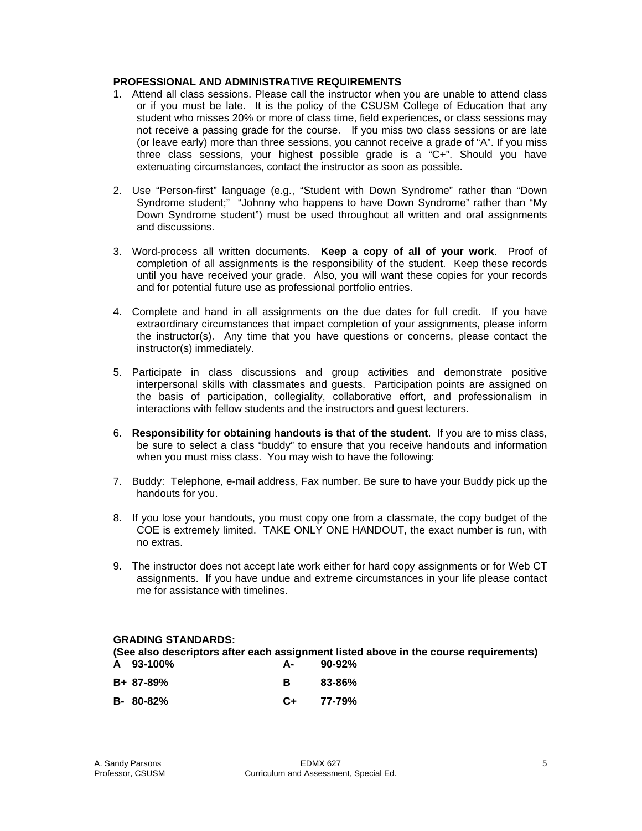# **PROFESSIONAL AND ADMINISTRATIVE REQUIREMENTS**

- 1. Attend all class sessions. Please call the instructor when you are unable to attend class or if you must be late. It is the policy of the CSUSM College of Education that any student who misses 20% or more of class time, field experiences, or class sessions may not receive a passing grade for the course. If you miss two class sessions or are late (or leave early) more than three sessions, you cannot receive a grade of "A". If you miss three class sessions, your highest possible grade is a "C+". Should you have extenuating circumstances, contact the instructor as soon as possible.
- 2. Use "Person-first" language (e.g., "Student with Down Syndrome" rather than "Down Syndrome student;" "Johnny who happens to have Down Syndrome" rather than "My Down Syndrome student") must be used throughout all written and oral assignments and discussions.
- 3. Word-process all written documents. **Keep a copy of all of your work**. Proof of completion of all assignments is the responsibility of the student. Keep these records until you have received your grade. Also, you will want these copies for your records and for potential future use as professional portfolio entries.
- 4. Complete and hand in all assignments on the due dates for full credit. If you have extraordinary circumstances that impact completion of your assignments, please inform the instructor(s). Any time that you have questions or concerns, please contact the instructor(s) immediately.
- 5. Participate in class discussions and group activities and demonstrate positive interpersonal skills with classmates and guests. Participation points are assigned on the basis of participation, collegiality, collaborative effort, and professionalism in interactions with fellow students and the instructors and guest lecturers.
- 6. **Responsibility for obtaining handouts is that of the student**. If you are to miss class, be sure to select a class "buddy" to ensure that you receive handouts and information when you must miss class. You may wish to have the following:
- 7. Buddy: Telephone, e-mail address, Fax number. Be sure to have your Buddy pick up the handouts for you.
- 8. If you lose your handouts, you must copy one from a classmate, the copy budget of the COE is extremely limited. TAKE ONLY ONE HANDOUT, the exact number is run, with no extras.
- 9. The instructor does not accept late work either for hard copy assignments or for Web CT assignments. If you have undue and extreme circumstances in your life please contact me for assistance with timelines.

## **GRADING STANDARDS:**

**(See also descriptors after each assignment listed above in the course requirements)**<br>A 93-100% **A 93-100% A- 90-92%** 

| <b>AU-1997</b> | $-$ | JU-J <i>l</i> /U |
|----------------|-----|------------------|
| B+ 87-89%      |     | 83-86%           |
| $B - 80 - 82%$ |     | $C_{+}$ 77-79%   |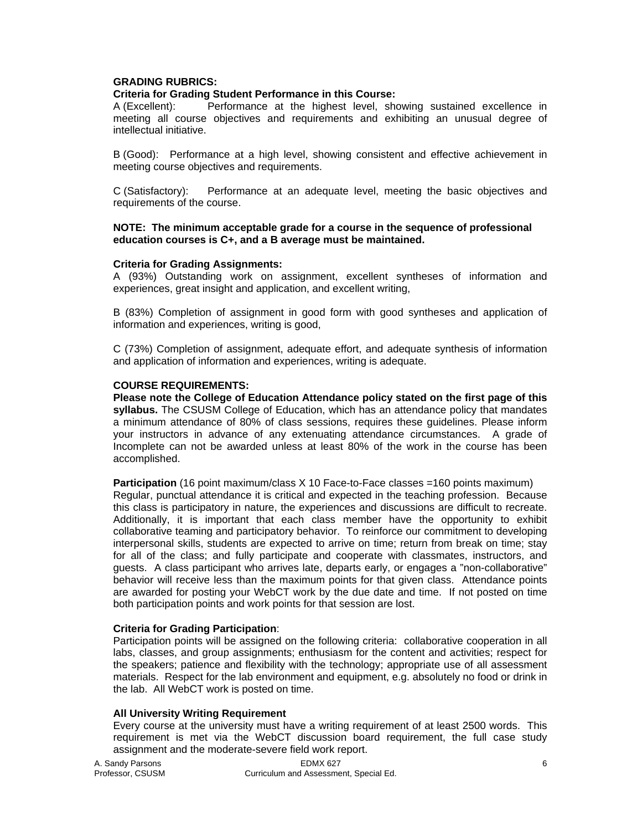## **GRADING RUBRICS:**

# **Criteria for Grading Student Performance in this Course:**

A (Excellent): Performance at the highest level, showing sustained excellence in meeting all course objectives and requirements and exhibiting an unusual degree of intellectual initiative.

B (Good): Performance at a high level, showing consistent and effective achievement in meeting course objectives and requirements.

C (Satisfactory): Performance at an adequate level, meeting the basic objectives and requirements of the course.

#### **NOTE: The minimum acceptable grade for a course in the sequence of professional education courses is C+, and a B average must be maintained.**

#### **Criteria for Grading Assignments:**

A (93%) Outstanding work on assignment, excellent syntheses of information and experiences, great insight and application, and excellent writing,

B (83%) Completion of assignment in good form with good syntheses and application of information and experiences, writing is good,

C (73%) Completion of assignment, adequate effort, and adequate synthesis of information and application of information and experiences, writing is adequate.

#### **COURSE REQUIREMENTS:**

**Please note the College of Education Attendance policy stated on the first page of this syllabus.** The CSUSM College of Education, which has an attendance policy that mandates a minimum attendance of 80% of class sessions, requires these guidelines. Please inform your instructors in advance of any extenuating attendance circumstances. A grade of Incomplete can not be awarded unless at least 80% of the work in the course has been accomplished.

**Participation** (16 point maximum/class X 10 Face-to-Face classes =160 points maximum) Regular, punctual attendance it is critical and expected in the teaching profession. Because this class is participatory in nature, the experiences and discussions are difficult to recreate. Additionally, it is important that each class member have the opportunity to exhibit collaborative teaming and participatory behavior. To reinforce our commitment to developing interpersonal skills, students are expected to arrive on time; return from break on time; stay for all of the class; and fully participate and cooperate with classmates, instructors, and guests. A class participant who arrives late, departs early, or engages a "non-collaborative" behavior will receive less than the maximum points for that given class. Attendance points are awarded for posting your WebCT work by the due date and time. If not posted on time both participation points and work points for that session are lost.

#### **Criteria for Grading Participation**:

Participation points will be assigned on the following criteria: collaborative cooperation in all labs, classes, and group assignments; enthusiasm for the content and activities; respect for the speakers; patience and flexibility with the technology; appropriate use of all assessment materials. Respect for the lab environment and equipment, e.g. absolutely no food or drink in the lab. All WebCT work is posted on time.

## **All University Writing Requirement**

Every course at the university must have a writing requirement of at least 2500 words. This requirement is met via the WebCT discussion board requirement, the full case study assignment and the moderate-severe field work report.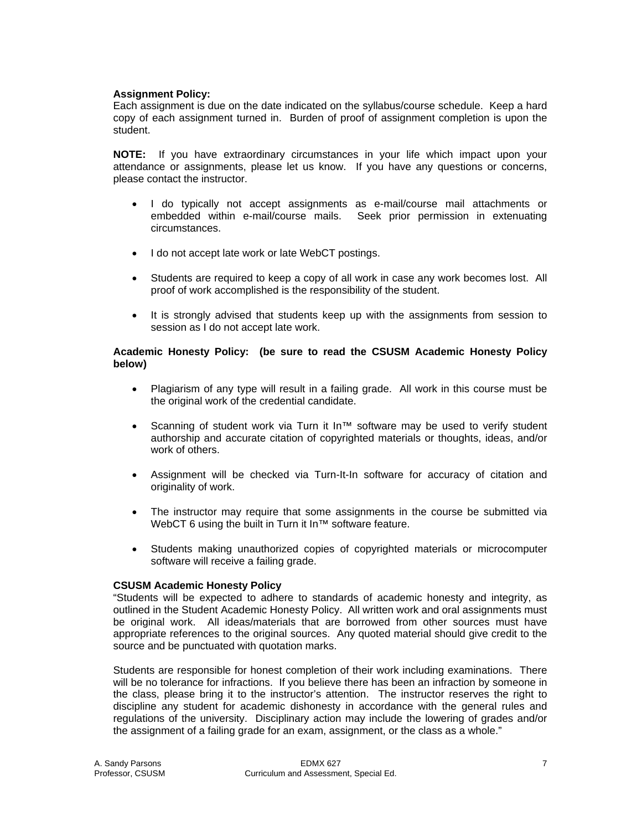# **Assignment Policy:**

Each assignment is due on the date indicated on the syllabus/course schedule. Keep a hard copy of each assignment turned in. Burden of proof of assignment completion is upon the student.

**NOTE:** If you have extraordinary circumstances in your life which impact upon your attendance or assignments, please let us know. If you have any questions or concerns, please contact the instructor.

- I do typically not accept assignments as e-mail/course mail attachments or embedded within e-mail/course mails. Seek prior permission in extenuating circumstances.
- I do not accept late work or late WebCT postings.
- Students are required to keep a copy of all work in case any work becomes lost. All proof of work accomplished is the responsibility of the student.
- It is strongly advised that students keep up with the assignments from session to session as I do not accept late work.

# **Academic Honesty Policy: (be sure to read the CSUSM Academic Honesty Policy below)**

- Plagiarism of any type will result in a failing grade. All work in this course must be the original work of the credential candidate.
- Scanning of student work via Turn it In™ software may be used to verify student authorship and accurate citation of copyrighted materials or thoughts, ideas, and/or work of others.
- Assignment will be checked via Turn-It-In software for accuracy of citation and originality of work.
- The instructor may require that some assignments in the course be submitted via WebCT 6 using the built in Turn it In™ software feature.
- Students making unauthorized copies of copyrighted materials or microcomputer software will receive a failing grade.

## **CSUSM Academic Honesty Policy**

"Students will be expected to adhere to standards of academic honesty and integrity, as outlined in the Student Academic Honesty Policy. All written work and oral assignments must be original work. All ideas/materials that are borrowed from other sources must have appropriate references to the original sources. Any quoted material should give credit to the source and be punctuated with quotation marks.

Students are responsible for honest completion of their work including examinations. There will be no tolerance for infractions. If you believe there has been an infraction by someone in the class, please bring it to the instructor's attention. The instructor reserves the right to discipline any student for academic dishonesty in accordance with the general rules and regulations of the university. Disciplinary action may include the lowering of grades and/or the assignment of a failing grade for an exam, assignment, or the class as a whole."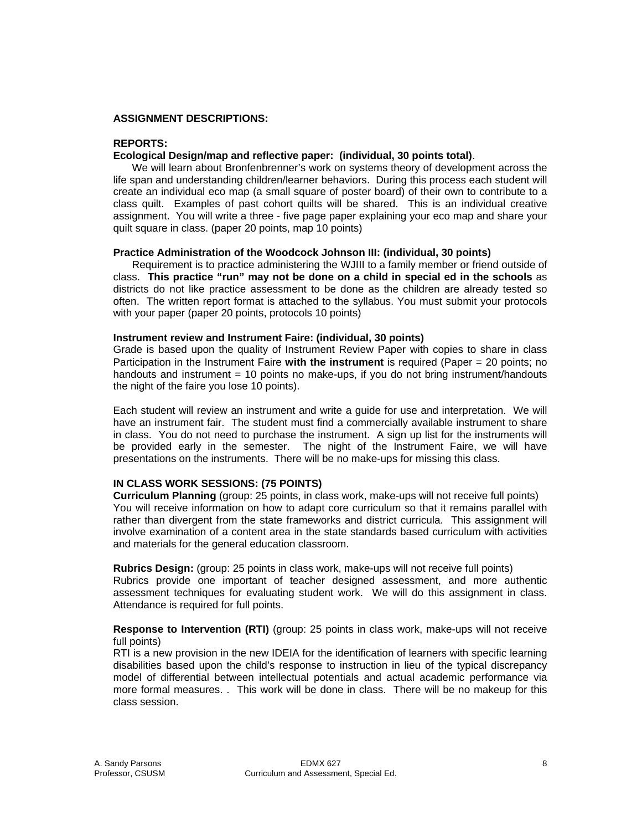### **ASSIGNMENT DESCRIPTIONS:**

#### **REPORTS:**

### **Ecological Design/map and reflective paper: (individual, 30 points total)**.

 We will learn about Bronfenbrenner's work on systems theory of development across the life span and understanding children/learner behaviors. During this process each student will create an individual eco map (a small square of poster board) of their own to contribute to a class quilt. Examples of past cohort quilts will be shared. This is an individual creative assignment. You will write a three - five page paper explaining your eco map and share your quilt square in class. (paper 20 points, map 10 points)

#### **Practice Administration of the Woodcock Johnson III: (individual, 30 points)**

 Requirement is to practice administering the WJIII to a family member or friend outside of class. **This practice "run" may not be done on a child in special ed in the schools** as districts do not like practice assessment to be done as the children are already tested so often. The written report format is attached to the syllabus. You must submit your protocols with your paper (paper 20 points, protocols 10 points)

#### **Instrument review and Instrument Faire: (individual, 30 points)**

Grade is based upon the quality of Instrument Review Paper with copies to share in class Participation in the Instrument Faire **with the instrument** is required (Paper = 20 points; no handouts and instrument = 10 points no make-ups, if you do not bring instrument/handouts the night of the faire you lose 10 points).

Each student will review an instrument and write a guide for use and interpretation. We will have an instrument fair. The student must find a commercially available instrument to share in class. You do not need to purchase the instrument. A sign up list for the instruments will be provided early in the semester. The night of the Instrument Faire, we will have presentations on the instruments. There will be no make-ups for missing this class.

## **IN CLASS WORK SESSIONS: (75 POINTS)**

**Curriculum Planning** (group: 25 points, in class work, make-ups will not receive full points) You will receive information on how to adapt core curriculum so that it remains parallel with rather than divergent from the state frameworks and district curricula. This assignment will involve examination of a content area in the state standards based curriculum with activities and materials for the general education classroom.

**Rubrics Design:** (group: 25 points in class work, make-ups will not receive full points) Rubrics provide one important of teacher designed assessment, and more authentic assessment techniques for evaluating student work. We will do this assignment in class. Attendance is required for full points.

**Response to Intervention (RTI)** (group: 25 points in class work, make-ups will not receive full points)

RTI is a new provision in the new IDEIA for the identification of learners with specific learning disabilities based upon the child's response to instruction in lieu of the typical discrepancy model of differential between intellectual potentials and actual academic performance via more formal measures. . This work will be done in class. There will be no makeup for this class session.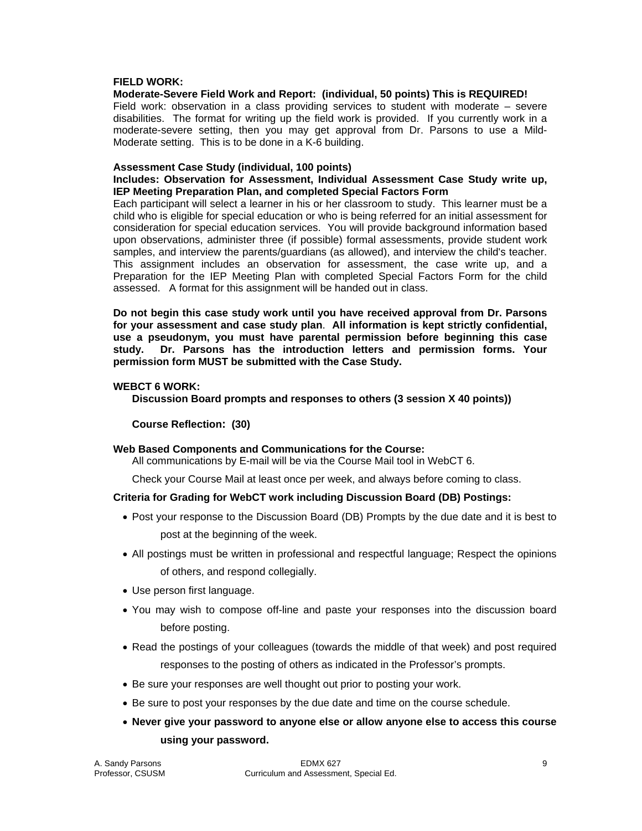### **FIELD WORK:**

## **Moderate-Severe Field Work and Report: (individual, 50 points) This is REQUIRED!**

Field work: observation in a class providing services to student with moderate – severe disabilities. The format for writing up the field work is provided. If you currently work in a moderate-severe setting, then you may get approval from Dr. Parsons to use a Mild-Moderate setting. This is to be done in a K-6 building.

#### **Assessment Case Study (individual, 100 points)**

### **Includes: Observation for Assessment, Individual Assessment Case Study write up, IEP Meeting Preparation Plan, and completed Special Factors Form**

Each participant will select a learner in his or her classroom to study. This learner must be a child who is eligible for special education or who is being referred for an initial assessment for consideration for special education services. You will provide background information based upon observations, administer three (if possible) formal assessments, provide student work samples, and interview the parents/guardians (as allowed), and interview the child's teacher. This assignment includes an observation for assessment, the case write up, and a Preparation for the IEP Meeting Plan with completed Special Factors Form for the child assessed. A format for this assignment will be handed out in class.

**Do not begin this case study work until you have received approval from Dr. Parsons for your assessment and case study plan**. **All information is kept strictly confidential, use a pseudonym, you must have parental permission before beginning this case study. Dr. Parsons has the introduction letters and permission forms. Your permission form MUST be submitted with the Case Study.** 

### **WEBCT 6 WORK:**

 **Discussion Board prompts and responses to others (3 session X 40 points))** 

## **Course Reflection: (30)**

## **Web Based Components and Communications for the Course:**

All communications by E-mail will be via the Course Mail tool in WebCT 6.

Check your Course Mail at least once per week, and always before coming to class.

## **Criteria for Grading for WebCT work including Discussion Board (DB) Postings:**

- Post your response to the Discussion Board (DB) Prompts by the due date and it is best to post at the beginning of the week.
- All postings must be written in professional and respectful language; Respect the opinions of others, and respond collegially.
- Use person first language.
- You may wish to compose off-line and paste your responses into the discussion board before posting.
- Read the postings of your colleagues (towards the middle of that week) and post required responses to the posting of others as indicated in the Professor's prompts.
- Be sure your responses are well thought out prior to posting your work.
- Be sure to post your responses by the due date and time on the course schedule.
- **Never give your password to anyone else or allow anyone else to access this course using your password.**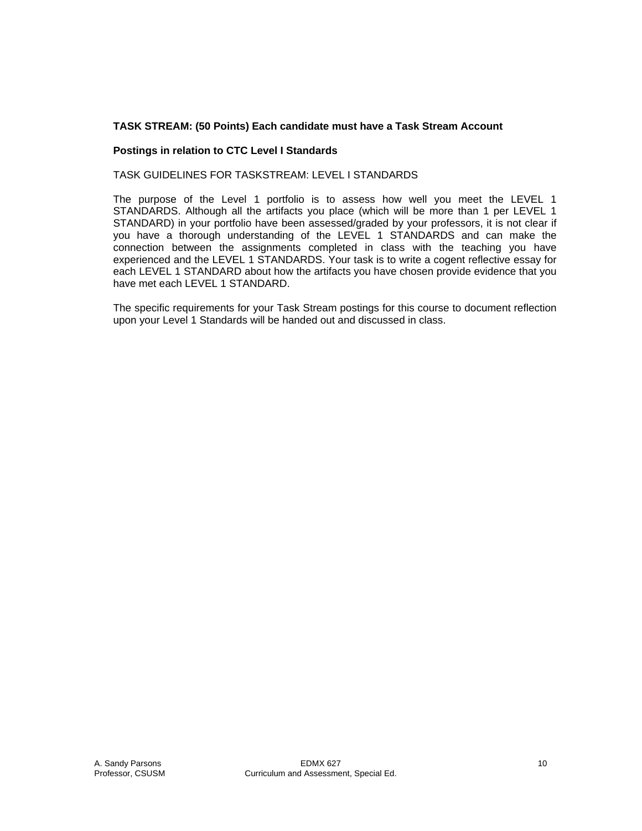# **TASK STREAM: (50 Points) Each candidate must have a Task Stream Account**

## **Postings in relation to CTC Level I Standards**

TASK GUIDELINES FOR TASKSTREAM: LEVEL I STANDARDS

The purpose of the Level 1 portfolio is to assess how well you meet the LEVEL 1 STANDARDS. Although all the artifacts you place (which will be more than 1 per LEVEL 1 STANDARD) in your portfolio have been assessed/graded by your professors, it is not clear if you have a thorough understanding of the LEVEL 1 STANDARDS and can make the connection between the assignments completed in class with the teaching you have experienced and the LEVEL 1 STANDARDS. Your task is to write a cogent reflective essay for each LEVEL 1 STANDARD about how the artifacts you have chosen provide evidence that you have met each LEVEL 1 STANDARD.

The specific requirements for your Task Stream postings for this course to document reflection upon your Level 1 Standards will be handed out and discussed in class.